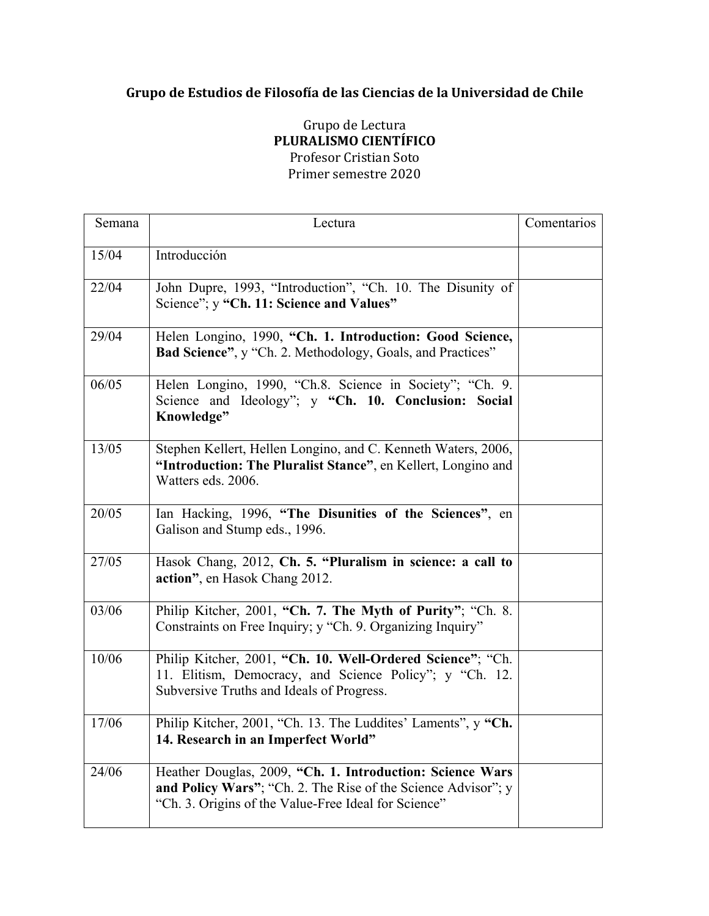## Grupo de Estudios de Filosofía de las Ciencias de la Universidad de Chile

## Grupo de Lectura **PLURALISMO CIENTÍFICO** Profesor Cristian Soto Primer semestre 2020

| Semana | Lectura                                                                                                                                                                            | Comentarios |
|--------|------------------------------------------------------------------------------------------------------------------------------------------------------------------------------------|-------------|
| 15/04  | Introducción                                                                                                                                                                       |             |
| 22/04  | John Dupre, 1993, "Introduction", "Ch. 10. The Disunity of<br>Science"; y "Ch. 11: Science and Values"                                                                             |             |
| 29/04  | Helen Longino, 1990, "Ch. 1. Introduction: Good Science,<br>Bad Science", y "Ch. 2. Methodology, Goals, and Practices"                                                             |             |
| 06/05  | Helen Longino, 1990, "Ch.8. Science in Society"; "Ch. 9.<br>Science and Ideology"; y "Ch. 10. Conclusion: Social<br>Knowledge"                                                     |             |
| 13/05  | Stephen Kellert, Hellen Longino, and C. Kenneth Waters, 2006,<br>"Introduction: The Pluralist Stance", en Kellert, Longino and<br>Watters eds. 2006.                               |             |
| 20/05  | Ian Hacking, 1996, "The Disunities of the Sciences", en<br>Galison and Stump eds., 1996.                                                                                           |             |
| 27/05  | Hasok Chang, 2012, Ch. 5. "Pluralism in science: a call to<br>action", en Hasok Chang 2012.                                                                                        |             |
| 03/06  | Philip Kitcher, 2001, "Ch. 7. The Myth of Purity"; "Ch. 8.<br>Constraints on Free Inquiry; y "Ch. 9. Organizing Inquiry"                                                           |             |
| 10/06  | Philip Kitcher, 2001, "Ch. 10. Well-Ordered Science"; "Ch.<br>11. Elitism, Democracy, and Science Policy"; y "Ch. 12.<br>Subversive Truths and Ideals of Progress.                 |             |
| 17/06  | Philip Kitcher, 2001, "Ch. 13. The Luddites' Laments", y "Ch.<br>14. Research in an Imperfect World"                                                                               |             |
| 24/06  | Heather Douglas, 2009, "Ch. 1. Introduction: Science Wars<br>and Policy Wars"; "Ch. 2. The Rise of the Science Advisor"; y<br>"Ch. 3. Origins of the Value-Free Ideal for Science" |             |